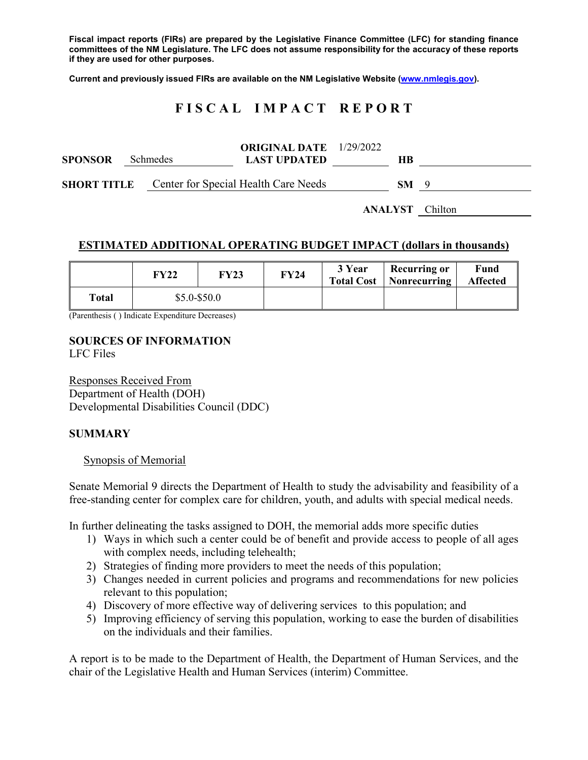**Fiscal impact reports (FIRs) are prepared by the Legislative Finance Committee (LFC) for standing finance committees of the NM Legislature. The LFC does not assume responsibility for the accuracy of these reports if they are used for other purposes.**

**Current and previously issued FIRs are available on the NM Legislative Website [\(www.nmlegis.gov\)](http://www.nmlegis.gov/).**

# **F I S C A L I M P A C T R E P O R T**

| <b>SPONSOR</b>     | <b>Schmedes</b> | <b>ORIGINAL DATE</b> 1/29/2022<br><b>LAST UPDATED</b> | HВ  |     |
|--------------------|-----------------|-------------------------------------------------------|-----|-----|
| <b>SHORT TITLE</b> |                 | Center for Special Health Care Needs                  | SM. | - Q |

**ANALYST** Chilton

### **ESTIMATED ADDITIONAL OPERATING BUDGET IMPACT (dollars in thousands)**

|       | FY22           | <b>FY23</b> | FY24 | 3 Year | <b>Recurring or</b><br><b>Total Cost</b>   Nonrecurring | Fund<br><b>Affected</b> |
|-------|----------------|-------------|------|--------|---------------------------------------------------------|-------------------------|
| Total | $$5.0 - $50.0$ |             |      |        |                                                         |                         |

(Parenthesis ( ) Indicate Expenditure Decreases)

# **SOURCES OF INFORMATION**

LFC Files

Responses Received From Department of Health (DOH) Developmental Disabilities Council (DDC)

#### **SUMMARY**

#### Synopsis of Memorial

Senate Memorial 9 directs the Department of Health to study the advisability and feasibility of a free-standing center for complex care for children, youth, and adults with special medical needs.

In further delineating the tasks assigned to DOH, the memorial adds more specific duties

- 1) Ways in which such a center could be of benefit and provide access to people of all ages with complex needs, including telehealth;
- 2) Strategies of finding more providers to meet the needs of this population;
- 3) Changes needed in current policies and programs and recommendations for new policies relevant to this population;
- 4) Discovery of more effective way of delivering services to this population; and
- 5) Improving efficiency of serving this population, working to ease the burden of disabilities on the individuals and their families.

A report is to be made to the Department of Health, the Department of Human Services, and the chair of the Legislative Health and Human Services (interim) Committee.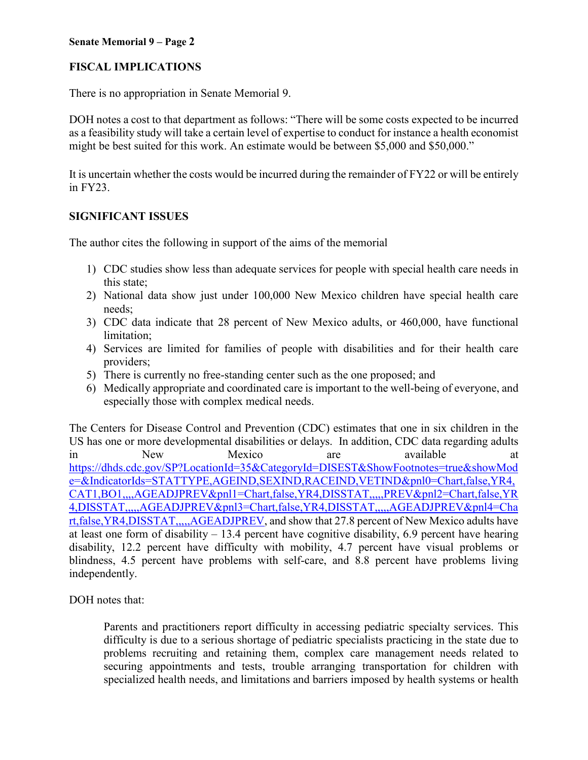#### **Senate Memorial 9 – Page 2**

## **FISCAL IMPLICATIONS**

There is no appropriation in Senate Memorial 9.

DOH notes a cost to that department as follows: "There will be some costs expected to be incurred as a feasibility study will take a certain level of expertise to conduct for instance a health economist might be best suited for this work. An estimate would be between \$5,000 and \$50,000."

It is uncertain whether the costs would be incurred during the remainder of FY22 or will be entirely in FY23.

### **SIGNIFICANT ISSUES**

The author cites the following in support of the aims of the memorial

- 1) CDC studies show less than adequate services for people with special health care needs in this state;
- 2) National data show just under 100,000 New Mexico children have special health care needs;
- 3) CDC data indicate that 28 percent of New Mexico adults, or 460,000, have functional limitation;
- 4) Services are limited for families of people with disabilities and for their health care providers;
- 5) There is currently no free-standing center such as the one proposed; and
- 6) Medically appropriate and coordinated care is important to the well-being of everyone, and especially those with complex medical needs.

The Centers for Disease Control and Prevention (CDC) estimates that one in six children in the US has one or more developmental disabilities or delays. In addition, CDC data regarding adults in New Mexico are available at [https://dhds.cdc.gov/SP?LocationId=35&CategoryId=DISEST&ShowFootnotes=true&showMod](https://dhds.cdc.gov/SP?LocationId=35&CategoryId=DISEST&ShowFootnotes=true&showMode=&IndicatorIds=STATTYPE,AGEIND,SEXIND,RACEIND,VETIND&pnl0=Chart,false,YR4,CAT1,BO1,,,,AGEADJPREV&pnl1=Chart,false,YR4,DISSTAT,,,,,PREV&pnl2=Chart,false,YR4,DISSTAT,,,,,AGEADJPREV&pnl3=Chart,false,YR4,DISSTAT,,,,,AGEADJPREV&pnl4=Chart,false,YR4,DISSTAT,,,,,AGEADJPREV) [e=&IndicatorIds=STATTYPE,AGEIND,SEXIND,RACEIND,VETIND&pnl0=Chart,false,YR4,](https://dhds.cdc.gov/SP?LocationId=35&CategoryId=DISEST&ShowFootnotes=true&showMode=&IndicatorIds=STATTYPE,AGEIND,SEXIND,RACEIND,VETIND&pnl0=Chart,false,YR4,CAT1,BO1,,,,AGEADJPREV&pnl1=Chart,false,YR4,DISSTAT,,,,,PREV&pnl2=Chart,false,YR4,DISSTAT,,,,,AGEADJPREV&pnl3=Chart,false,YR4,DISSTAT,,,,,AGEADJPREV&pnl4=Chart,false,YR4,DISSTAT,,,,,AGEADJPREV) [CAT1,BO1,,,,AGEADJPREV&pnl1=Chart,false,YR4,DISSTAT,,,,,PREV&pnl2=Chart,false,YR](https://dhds.cdc.gov/SP?LocationId=35&CategoryId=DISEST&ShowFootnotes=true&showMode=&IndicatorIds=STATTYPE,AGEIND,SEXIND,RACEIND,VETIND&pnl0=Chart,false,YR4,CAT1,BO1,,,,AGEADJPREV&pnl1=Chart,false,YR4,DISSTAT,,,,,PREV&pnl2=Chart,false,YR4,DISSTAT,,,,,AGEADJPREV&pnl3=Chart,false,YR4,DISSTAT,,,,,AGEADJPREV&pnl4=Chart,false,YR4,DISSTAT,,,,,AGEADJPREV) [4,DISSTAT,,,,,AGEADJPREV&pnl3=Chart,false,YR4,DISSTAT,,,,,AGEADJPREV&pnl4=Cha](https://dhds.cdc.gov/SP?LocationId=35&CategoryId=DISEST&ShowFootnotes=true&showMode=&IndicatorIds=STATTYPE,AGEIND,SEXIND,RACEIND,VETIND&pnl0=Chart,false,YR4,CAT1,BO1,,,,AGEADJPREV&pnl1=Chart,false,YR4,DISSTAT,,,,,PREV&pnl2=Chart,false,YR4,DISSTAT,,,,,AGEADJPREV&pnl3=Chart,false,YR4,DISSTAT,,,,,AGEADJPREV&pnl4=Chart,false,YR4,DISSTAT,,,,,AGEADJPREV) [rt,false,YR4,DISSTAT,,,,,AGEADJPREV,](https://dhds.cdc.gov/SP?LocationId=35&CategoryId=DISEST&ShowFootnotes=true&showMode=&IndicatorIds=STATTYPE,AGEIND,SEXIND,RACEIND,VETIND&pnl0=Chart,false,YR4,CAT1,BO1,,,,AGEADJPREV&pnl1=Chart,false,YR4,DISSTAT,,,,,PREV&pnl2=Chart,false,YR4,DISSTAT,,,,,AGEADJPREV&pnl3=Chart,false,YR4,DISSTAT,,,,,AGEADJPREV&pnl4=Chart,false,YR4,DISSTAT,,,,,AGEADJPREV) and show that 27.8 percent of New Mexico adults have at least one form of disability  $-13.4$  percent have cognitive disability, 6.9 percent have hearing disability, 12.2 percent have difficulty with mobility, 4.7 percent have visual problems or blindness, 4.5 percent have problems with self-care, and 8.8 percent have problems living independently.

DOH notes that:

Parents and practitioners report difficulty in accessing pediatric specialty services. This difficulty is due to a serious shortage of pediatric specialists practicing in the state due to problems recruiting and retaining them, complex care management needs related to securing appointments and tests, trouble arranging transportation for children with specialized health needs, and limitations and barriers imposed by health systems or health